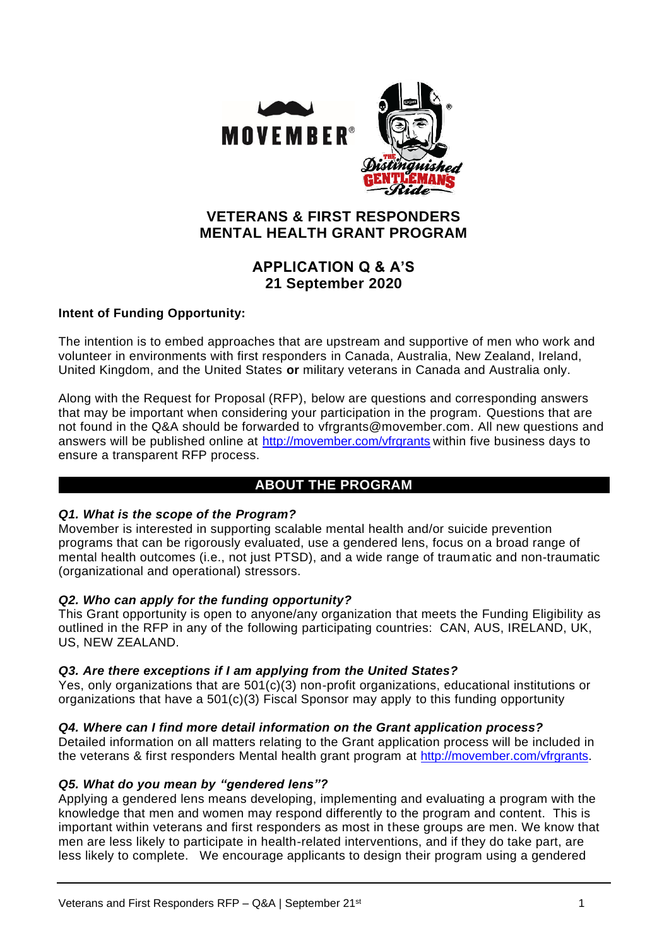

# **VETERANS & FIRST RESPONDERS MENTAL HEALTH GRANT PROGRAM**

# **APPLICATION Q & A'S 21 September 2020**

## **Intent of Funding Opportunity:**

The intention is to embed approaches that are upstream and supportive of men who work and volunteer in environments with first responders in Canada, Australia, New Zealand, Ireland, United Kingdom, and the United States **or** military veterans in Canada and Australia only.

Along with the Request for Proposal (RFP), below are questions and corresponding answers that may be important when considering your participation in the program. Questions that are not found in the Q&A should be forwarded to [vfrgrants@movember.com.](mailto:vfrgrants@movember.com) All new questions and answers will be published online at<http://movember.com/vfrgrants> within five business days to ensure a transparent RFP process.

## **ABOUT THE PROGRAM**

### *Q1. What is the scope of the Program?*

Movember is interested in supporting scalable mental health and/or suicide prevention programs that can be rigorously evaluated, use a gendered lens, focus on a broad range of mental health outcomes (i.e., not just PTSD), and a wide range of traumatic and non-traumatic (organizational and operational) stressors.

### *Q2. Who can apply for the funding opportunity?*

This Grant opportunity is open to anyone/any organization that meets the Funding Eligibility as outlined in the RFP in any of the following participating countries: CAN, AUS, IRELAND, UK, US, NEW ZEALAND.

### *Q3. Are there exceptions if I am applying from the United States?*

Yes, only organizations that are 501(c)(3) non-profit organizations, educational institutions or organizations that have a 501(c)(3) Fiscal Sponsor may apply to this funding opportunity

### *Q4. Where can I find more detail information on the Grant application process?*

Detailed information on all matters relating to the Grant application process will be included in the veterans & first responders Mental health grant program at [http://movember.com/vfrgrants.](http://movember.com/vfrgrants)

### *Q5. What do you mean by "gendered lens"?*

Applying a gendered lens means developing, implementing and evaluating a program with the knowledge that men and women may respond differently to the program and content. This is important within veterans and first responders as most in these groups are men. We know that men are less likely to participate in health-related interventions, and if they do take part, are less likely to complete. We encourage applicants to design their program using a gendered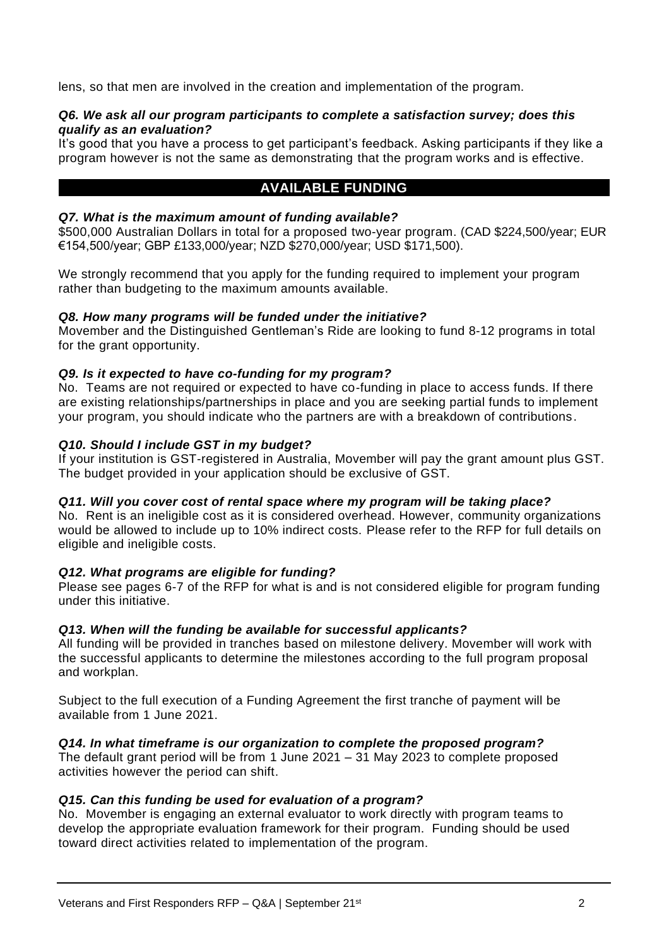lens, so that men are involved in the creation and implementation of the program.

### *Q6. We ask all our program participants to complete a satisfaction survey; does this qualify as an evaluation?*

It's good that you have a process to get participant's feedback. Asking participants if they like a program however is not the same as demonstrating that the program works and is effective.

# **AVAILABLE FUNDING**

### *Q7. What is the maximum amount of funding available?*

\$500,000 Australian Dollars in total for a proposed two-year program. (CAD \$224,500/year; EUR €154,500/year; GBP £133,000/year; NZD \$270,000/year; USD \$171,500).

We strongly recommend that you apply for the funding required to implement your program rather than budgeting to the maximum amounts available.

### *Q8. How many programs will be funded under the initiative?*

Movember and the Distinguished Gentleman's Ride are looking to fund 8-12 programs in total for the grant opportunity.

### *Q9. Is it expected to have co-funding for my program?*

No. Teams are not required or expected to have co-funding in place to access funds. If there are existing relationships/partnerships in place and you are seeking partial funds to implement your program, you should indicate who the partners are with a breakdown of contributions.

#### *Q10. Should I include GST in my budget?*

If your institution is GST-registered in Australia, Movember will pay the grant amount plus GST. The budget provided in your application should be exclusive of GST.

#### *Q11. Will you cover cost of rental space where my program will be taking place?*

No. Rent is an ineligible cost as it is considered overhead. However, community organizations would be allowed to include up to 10% indirect costs. Please refer to the RFP for full details on eligible and ineligible costs.

### *Q12. What programs are eligible for funding?*

Please see pages 6-7 of the RFP for what is and is not considered eligible for program funding under this initiative.

### *Q13. When will the funding be available for successful applicants?*

All funding will be provided in tranches based on milestone delivery. Movember will work with the successful applicants to determine the milestones according to the full program proposal and workplan.

Subject to the full execution of a Funding Agreement the first tranche of payment will be available from 1 June 2021.

### *Q14. In what timeframe is our organization to complete the proposed program?*

The default grant period will be from 1 June 2021 – 31 May 2023 to complete proposed activities however the period can shift.

### *Q15. Can this funding be used for evaluation of a program?*

No. Movember is engaging an external evaluator to work directly with program teams to develop the appropriate evaluation framework for their program. Funding should be used toward direct activities related to implementation of the program.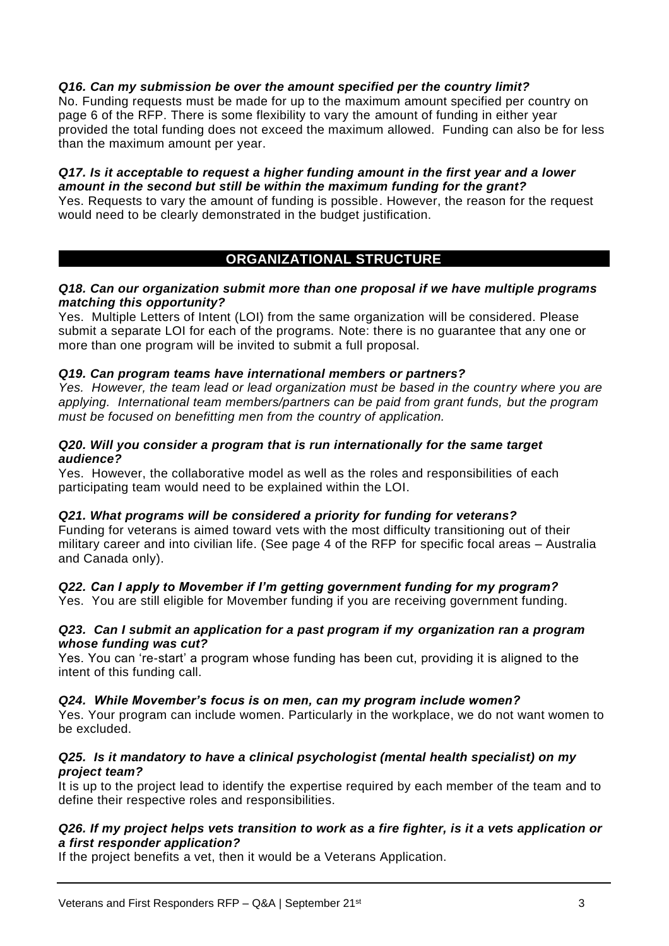### *Q16. Can my submission be over the amount specified per the country limit?*

No. Funding requests must be made for up to the maximum amount specified per country on page 6 of the RFP. There is some flexibility to vary the amount of funding in either year provided the total funding does not exceed the maximum allowed. Funding can also be for less than the maximum amount per year.

### *Q17. Is it acceptable to request a higher funding amount in the first year and a lower amount in the second but still be within the maximum funding for the grant?*

Yes. Requests to vary the amount of funding is possible. However, the reason for the request would need to be clearly demonstrated in the budget justification.

## **ORGANIZATIONAL STRUCTURE**

#### *Q18. Can our organization submit more than one proposal if we have multiple programs matching this opportunity?*

Yes. Multiple Letters of Intent (LOI) from the same organization will be considered. Please submit a separate LOI for each of the programs. Note: there is no guarantee that any one or more than one program will be invited to submit a full proposal.

### *Q19. Can program teams have international members or partners?*

*Yes. However, the team lead or lead organization must be based in the country where you are applying. International team members/partners can be paid from grant funds, but the program must be focused on benefitting men from the country of application.* 

#### *Q20. Will you consider a program that is run internationally for the same target audience?*

Yes. However, the collaborative model as well as the roles and responsibilities of each participating team would need to be explained within the LOI.

### *Q21. What programs will be considered a priority for funding for veterans?*

Funding for veterans is aimed toward vets with the most difficulty transitioning out of their military career and into civilian life. (See page 4 of the RFP for specific focal areas – Australia and Canada only).

## *Q22. Can I apply to Movember if I'm getting government funding for my program?*

Yes. You are still eligible for Movember funding if you are receiving government funding.

### *Q23. Can I submit an application for a past program if my organization ran a program whose funding was cut?*

Yes. You can 're-start' a program whose funding has been cut, providing it is aligned to the intent of this funding call.

### *Q24. While Movember's focus is on men, can my program include women?*

Yes. Your program can include women. Particularly in the workplace, we do not want women to be excluded.

### *Q25. Is it mandatory to have a clinical psychologist (mental health specialist) on my project team?*

It is up to the project lead to identify the expertise required by each member of the team and to define their respective roles and responsibilities.

### *Q26. If my project helps vets transition to work as a fire fighter, is it a vets application or a first responder application?*

If the project benefits a vet, then it would be a Veterans Application.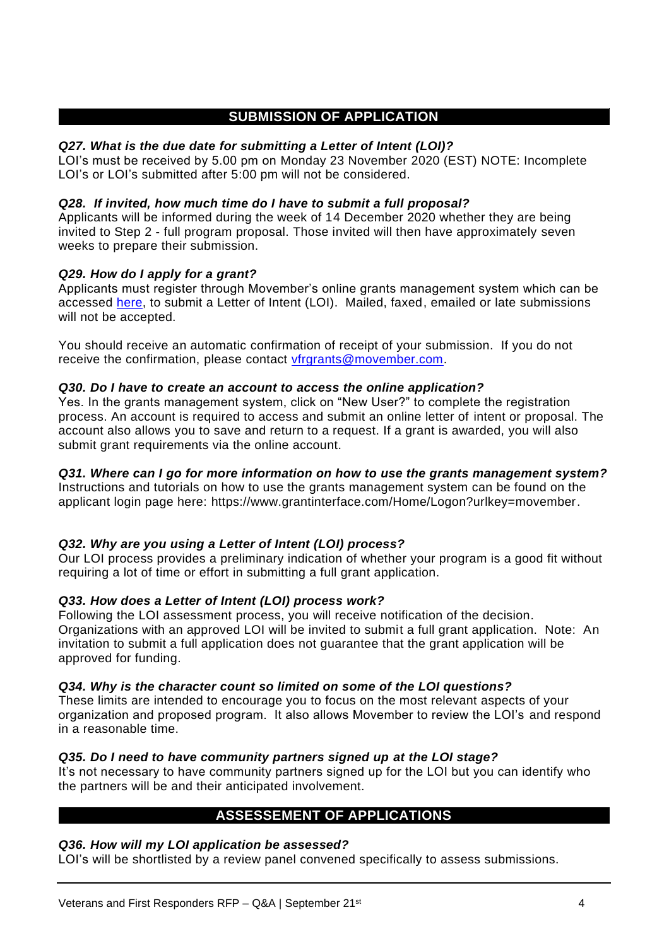# **SUBMISSION OF APPLICATION**

### *Q27. What is the due date for submitting a Letter of Intent (LOI)?*

LOI's must be received by 5.00 pm on Monday 23 November 2020 (EST) NOTE: Incomplete LOI's or LOI's submitted after 5:00 pm will not be considered.

### *Q28. If invited, how much time do I have to submit a full proposal?*

Applicants will be informed during the week of 14 December 2020 whether they are being invited to Step 2 - full program proposal. Those invited will then have approximately seven weeks to prepare their submission.

### *Q29. How do I apply for a grant?*

Applicants must register through Movember's online grants management system which can be accessed [here,](https://www.grantinterface.com/Home/Logon?urlkey=movember) to submit a Letter of Intent (LOI). Mailed, faxed, emailed or late submissions will not be accepted.

You should receive an automatic confirmation of receipt of your submission. If you do not receive the confirmation, please contact [vfrgrants@movember.com.](mailto:vfrgrants@movember.com)

### *Q30. Do I have to create an account to access the online application?*

Yes. In the grants management system, click on "New User?" to complete the registration process. An account is required to access and submit an online letter of intent or proposal. The account also allows you to save and return to a request. If a grant is awarded, you will also submit grant requirements via the online account.

## *Q31. Where can I go for more information on how to use the grants management system?*

Instructions and tutorials on how to use the grants management system can be found on the applicant login page here: [https://www.grantinterface.com/Home/Logon?urlkey=movember.](https://www.grantinterface.com/Home/Logon?urlkey=movember)

## *Q32. Why are you using a Letter of Intent (LOI) process?*

Our LOI process provides a preliminary indication of whether your program is a good fit without requiring a lot of time or effort in submitting a full grant application.

### *Q33. How does a Letter of Intent (LOI) process work?*

Following the LOI assessment process, you will receive notification of the decision. Organizations with an approved LOI will be invited to submit a full grant application. Note: An invitation to submit a full application does not guarantee that the grant application will be approved for funding.

### *Q34. Why is the character count so limited on some of the LOI questions?*

These limits are intended to encourage you to focus on the most relevant aspects of your organization and proposed program. It also allows Movember to review the LOI's and respond in a reasonable time.

### *Q35. Do I need to have community partners signed up at the LOI stage?*

It's not necessary to have community partners signed up for the LOI but you can identify who the partners will be and their anticipated involvement.

## **ASSESSEMENT OF APPLICATIONS**

### *Q36. How will my LOI application be assessed?*

LOI's will be shortlisted by a review panel convened specifically to assess submissions.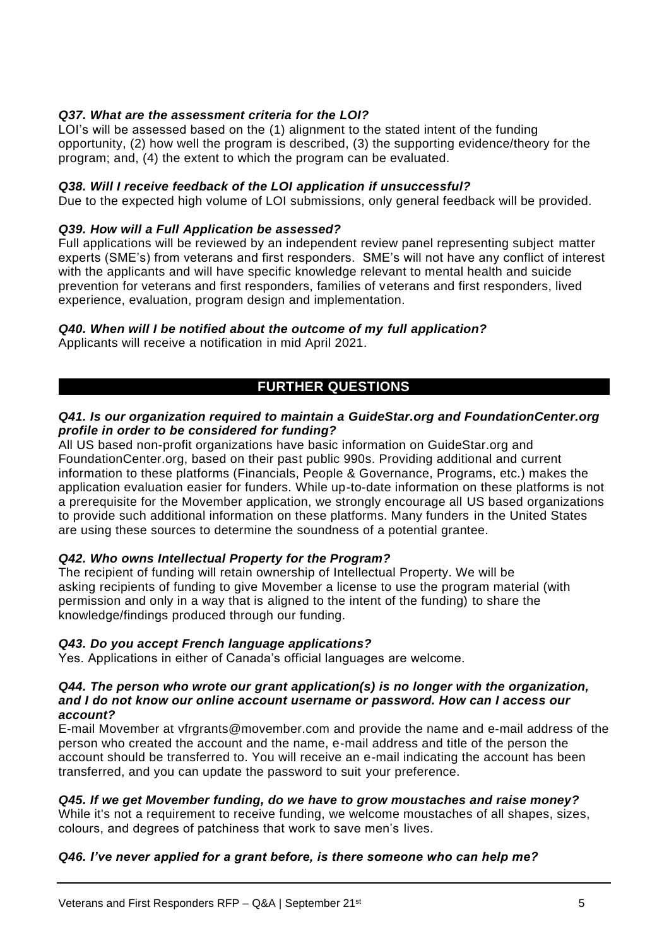## *Q37. What are the assessment criteria for the LOI?*

LOI's will be assessed based on the (1) alignment to the stated intent of the funding opportunity, (2) how well the program is described, (3) the supporting evidence/theory for the program; and, (4) the extent to which the program can be evaluated.

#### *Q38. Will I receive feedback of the LOI application if unsuccessful?*

Due to the expected high volume of LOI submissions, only general feedback will be provided.

#### *Q39. How will a Full Application be assessed?*

Full applications will be reviewed by an independent review panel representing subject matter experts (SME's) from veterans and first responders. SME's will not have any conflict of interest with the applicants and will have specific knowledge relevant to mental health and suicide prevention for veterans and first responders, families of veterans and first responders, lived experience, evaluation, program design and implementation.

### *Q40. When will I be notified about the outcome of my full application?*

Applicants will receive a notification in mid April 2021.

# **FURTHER QUESTIONS**

### *Q41. Is our organization required to maintain a GuideStar.org and FoundationCenter.org profile in order to be considered for funding?*

All US based non-profit organizations have basic information on GuideStar.org and FoundationCenter.org, based on their past public 990s. Providing additional and current information to these platforms (Financials, People & Governance, Programs, etc.) makes the application evaluation easier for funders. While up-to-date information on these platforms is not a prerequisite for the Movember application, we strongly encourage all US based organizations to provide such additional information on these platforms. Many funders in the United States are using these sources to determine the soundness of a potential grantee.

### *Q42. Who owns Intellectual Property for the Program?*

The recipient of funding will retain ownership of Intellectual Property. We will be asking recipients of funding to give Movember a license to use the program material (with permission and only in a way that is aligned to the intent of the funding) to share the knowledge/findings produced through our funding.

### *Q43. Do you accept French language applications?*

Yes. Applications in either of Canada's official languages are welcome.

#### *Q44. The person who wrote our grant application(s) is no longer with the organization, and I do not know our online account username or password. How can I access our account?*

E-mail Movember at [vfrgrants@movember.com](mailto:vfrgrants@movember.com) and provide the name and e-mail address of the person who created the account and the name, e-mail address and title of the person the account should be transferred to. You will receive an e-mail indicating the account has been transferred, and you can update the password to suit your preference.

### *Q45. If we get Movember funding, do we have to grow moustaches and raise money?*

While it's not a requirement to receive funding, we welcome moustaches of all shapes, sizes, colours, and degrees of patchiness that work to save men's lives.

### *Q46. I've never applied for a grant before, is there someone who can help me?*